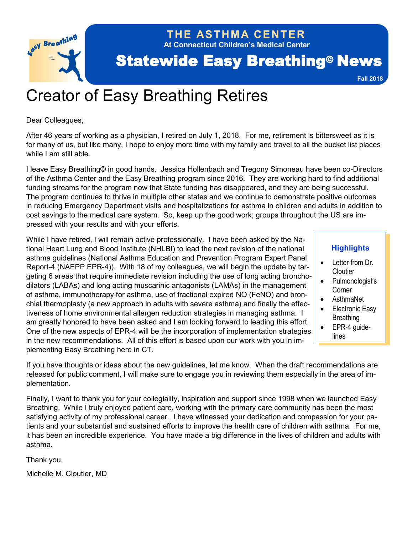

**At Connecticut Children's Medical Center THE ASTHMA CENTER**

# **Statewide Easy Breathing<sup>®</sup> News**

**Fall 2018**

# Creator of Easy Breathing Retires

Dear Colleagues,

After 46 years of working as a physician, I retired on July 1, 2018. For me, retirement is bittersweet as it is for many of us, but like many, I hope to enjoy more time with my family and travel to all the bucket list places while I am still able.

I leave Easy Breathing© in good hands. Jessica Hollenbach and Tregony Simoneau have been co-Directors of the Asthma Center and the Easy Breathing program since 2016. They are working hard to find additional funding streams for the program now that State funding has disappeared, and they are being successful. The program continues to thrive in multiple other states and we continue to demonstrate positive outcomes in reducing Emergency Department visits and hospitalizations for asthma in children and adults in addition to cost savings to the medical care system. So, keep up the good work; groups throughout the US are impressed with your results and with your efforts.

While I have retired, I will remain active professionally. I have been asked by the National Heart Lung and Blood Institute (NHLBI) to lead the next revision of the national asthma guidelines (National Asthma Education and Prevention Program Expert Panel Report-4 (NAEPP EPR-4)). With 18 of my colleagues, we will begin the update by targeting 6 areas that require immediate revision including the use of long acting bronchodilators (LABAs) and long acting muscarinic antagonists (LAMAs) in the management of asthma, immunotherapy for asthma, use of fractional expired NO (FeNO) and bronchial thermoplasty (a new approach in adults with severe asthma) and finally the effectiveness of home environmental allergen reduction strategies in managing asthma. I am greatly honored to have been asked and I am looking forward to leading this effort. One of the new aspects of EPR-4 will be the incorporation of implementation strategies in the new recommendations. All of this effort is based upon our work with you in implementing Easy Breathing here in CT.

## **Highlights**

- Letter from Dr. **Cloutier**
- Pulmonologist's Corner
- AsthmaNet
- Electronic Easy **Breathing**
- EPR-4 quidelines

If you have thoughts or ideas about the new guidelines, let me know. When the draft recommendations are released for public comment, I will make sure to engage you in reviewing them especially in the area of implementation.

Finally, I want to thank you for your collegiality, inspiration and support since 1998 when we launched Easy Breathing. While I truly enjoyed patient care, working with the primary care community has been the most satisfying activity of my professional career. I have witnessed your dedication and compassion for your patients and your substantial and sustained efforts to improve the health care of children with asthma. For me, it has been an incredible experience. You have made a big difference in the lives of children and adults with asthma.

Thank you,

Michelle M. Cloutier, MD